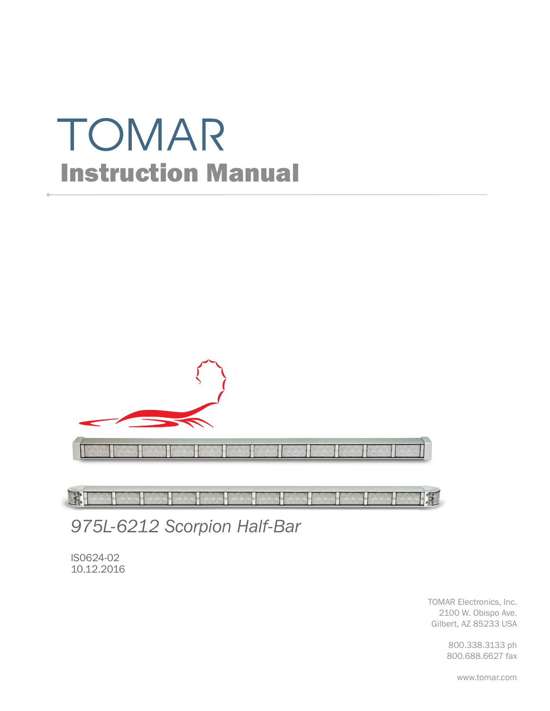# TOMAR Instruction Manual



FFI  $\overline{\text{H}}$ 

*975L-6212 Scorpion Half-Bar*

IS0624-02 10.12.2016

> TOMAR Electronics, Inc. 2100 W. Obispo Ave. Gilbert, AZ 85233 USA

> > 800.338.3133 ph 800.688.6627 fax

> > > www.tomar.com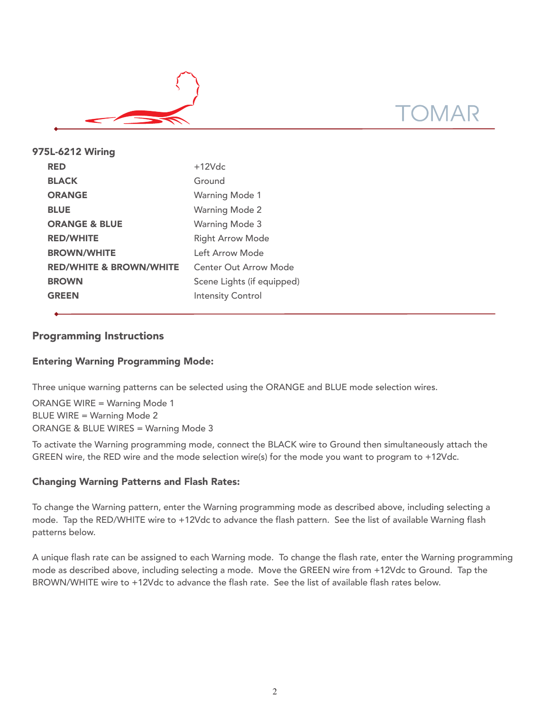

| 975L-6212 Wiring                   |                              |
|------------------------------------|------------------------------|
| <b>RED</b>                         | $+12Vdc$                     |
| <b>BLACK</b>                       | Ground                       |
| <b>ORANGE</b>                      | <b>Warning Mode 1</b>        |
| <b>BLUE</b>                        | <b>Warning Mode 2</b>        |
| <b>ORANGE &amp; BLUE</b>           | <b>Warning Mode 3</b>        |
| <b>RED/WHITE</b>                   | <b>Right Arrow Mode</b>      |
| <b>BROWN/WHITE</b>                 | Left Arrow Mode              |
| <b>RED/WHITE &amp; BROWN/WHITE</b> | <b>Center Out Arrow Mode</b> |
| <b>BROWN</b>                       | Scene Lights (if equipped)   |
| <b>GREEN</b>                       | <b>Intensity Control</b>     |
|                                    |                              |

# Programming Instructions

# Entering Warning Programming Mode:

Three unique warning patterns can be selected using the ORANGE and BLUE mode selection wires.

ORANGE WIRE = Warning Mode 1 BLUE WIRE = Warning Mode 2 ORANGE & BLUE WIRES = Warning Mode 3

To activate the Warning programming mode, connect the BLACK wire to Ground then simultaneously attach the GREEN wire, the RED wire and the mode selection wire(s) for the mode you want to program to +12Vdc.

## Changing Warning Patterns and Flash Rates:

To change the Warning pattern, enter the Warning programming mode as described above, including selecting a mode. Tap the RED/WHITE wire to +12Vdc to advance the flash pattern. See the list of available Warning flash patterns below.

A unique flash rate can be assigned to each Warning mode. To change the flash rate, enter the Warning programming mode as described above, including selecting a mode. Move the GREEN wire from +12Vdc to Ground. Tap the BROWN/WHITE wire to +12Vdc to advance the flash rate. See the list of available flash rates below.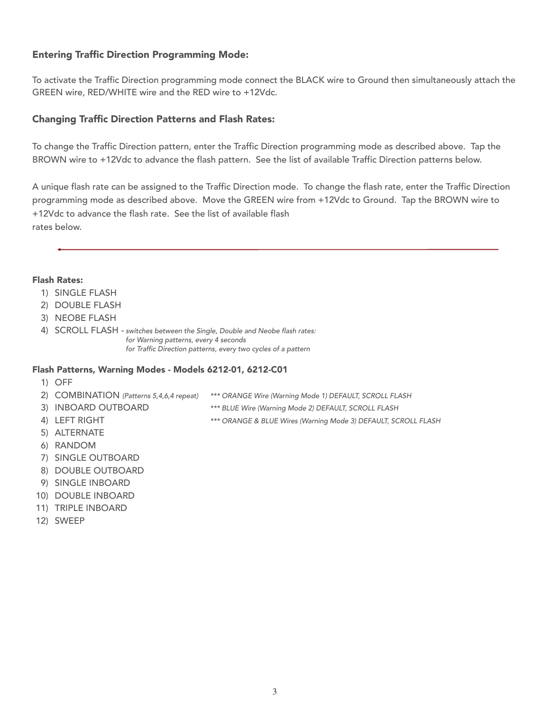# Entering Traffic Direction Programming Mode:

To activate the Traffic Direction programming mode connect the BLACK wire to Ground then simultaneously attach the GREEN wire, RED/WHITE wire and the RED wire to +12Vdc.

### Changing Traffic Direction Patterns and Flash Rates:

To change the Traffic Direction pattern, enter the Traffic Direction programming mode as described above. Tap the BROWN wire to +12Vdc to advance the flash pattern. See the list of available Traffic Direction patterns below.

A unique flash rate can be assigned to the Traffic Direction mode. To change the flash rate, enter the Traffic Direction programming mode as described above. Move the GREEN wire from +12Vdc to Ground. Tap the BROWN wire to +12Vdc to advance the flash rate. See the list of available flash rates below.

#### Flash Rates:

- 1) SINGLE FLASH
- 2) DOUBLE FLASH
- 3) NEOBE FLASH
- 4) SCROLL FLASH switches between the Single, Double and Neobe flash rates: for Warning patterns, every 4 seconds for Traffic Direction patterns, every two cycles of a pattern

#### Flash Patterns, Warning Modes - Models 6212-01, 6212-C01

- 1) OFF
- 2) COMBINATION (Patterns 5,4,6,4 repeat) \*\*\* ORANGE Wire (Warning Mode 1) DEFAULT, SCROLL FLASH
	-
- 3) INBOARD OUTBOARD \*\*\* BLUE Wire (Warning Mode 2) DEFAULT, SCROLL FLASH
- 4) LEFT RIGHT **EXECUTE THE STATE OF A SET ALL STATES (Warning Mode 3) DEFAULT, SCROLL FLASH**
- 5) ALTERNATE
- 6) RANDOM
- 7) SINGLE OUTBOARD
- 8) DOUBLE OUTBOARD
- 9) SINGLE INBOARD
- 10) DOUBLE INBOARD
- 11) TRIPLE INBOARD
- 12) SWEEP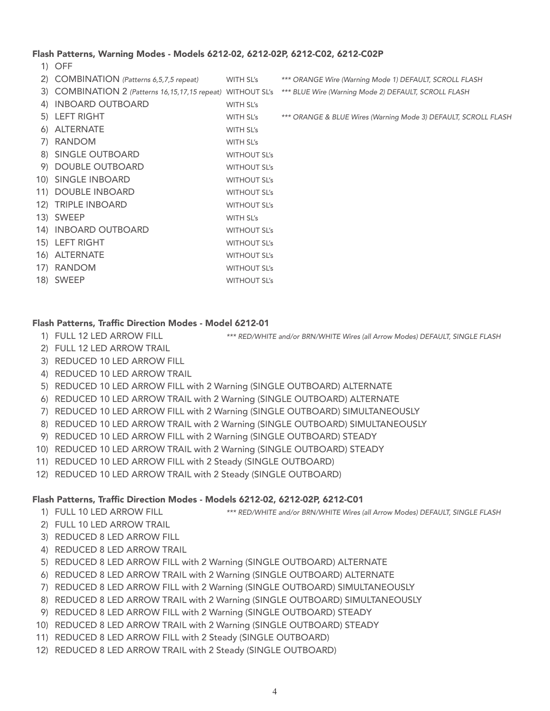#### Flash Patterns, Warning Modes - Models 6212-02, 6212-02P, 6212-C02, 6212-C02P

1) OFF

| 2) COMBINATION (Patterns 6,5,7,5 repeat)                       | WITH SL's           | *** ORANGE Wire (Warning Mode 1) DEFAULT, SCROLL FLASH         |
|----------------------------------------------------------------|---------------------|----------------------------------------------------------------|
| 3) COMBINATION 2 (Patterns 16, 15, 17, 15 repeat) WITHOUT SL's |                     | *** BLUE Wire (Warning Mode 2) DEFAULT, SCROLL FLASH           |
| 4) INBOARD OUTBOARD                                            | WITH SL's           |                                                                |
| 5) LEFT RIGHT                                                  | WITH SL's           | *** ORANGE & BLUE Wires (Warning Mode 3) DEFAULT, SCROLL FLASH |
| 6) ALTERNATE                                                   | WITH SL's           |                                                                |
| 7) RANDOM                                                      | WITH SL's           |                                                                |
| 8) SINGLE OUTBOARD                                             | <b>WITHOUT SL's</b> |                                                                |
| 9) DOUBLE OUTBOARD                                             | <b>WITHOUT SL's</b> |                                                                |
| 10) SINGLE INBOARD                                             | <b>WITHOUT SL's</b> |                                                                |
| 11) DOUBLE INBOARD                                             | <b>WITHOUT SL's</b> |                                                                |
| 12) TRIPLE INBOARD                                             | <b>WITHOUT SL's</b> |                                                                |
| 13) SWEEP                                                      | WITH SL's           |                                                                |
| 14) INBOARD OUTBOARD                                           | <b>WITHOUT SL's</b> |                                                                |
| 15) LEFT RIGHT                                                 | <b>WITHOUT SL's</b> |                                                                |
| 16) ALTERNATE                                                  | <b>WITHOUT SL's</b> |                                                                |
| 17) RANDOM                                                     | <b>WITHOUT SL's</b> |                                                                |
| 18) SWEEP                                                      | <b>WITHOUT SL's</b> |                                                                |
|                                                                |                     |                                                                |

#### Flash Patterns, Traffic Direction Modes - Model 6212-01

- 1) FULL 12 LED ARROW FILL \*\*\* RED/WHITE and/or BRN/WHITE Wires (all Arrow Modes) DEFAULT, SINGLE FLASH
- 2) FULL 12 LED ARROW TRAIL
- 3) REDUCED 10 LED ARROW FILL
- 4) REDUCED 10 LED ARROW TRAIL
- 5) REDUCED 10 LED ARROW FILL with 2 Warning (SINGLE OUTBOARD) ALTERNATE
- 6) REDUCED 10 LED ARROW TRAIL with 2 Warning (SINGLE OUTBOARD) ALTERNATE
- 7) REDUCED 10 LED ARROW FILL with 2 Warning (SINGLE OUTBOARD) SIMULTANEOUSLY
- 8) REDUCED 10 LED ARROW TRAIL with 2 Warning (SINGLE OUTBOARD) SIMULTANEOUSLY
- 9) REDUCED 10 LED ARROW FILL with 2 Warning (SINGLE OUTBOARD) STEADY
- 10) REDUCED 10 LED ARROW TRAIL with 2 Warning (SINGLE OUTBOARD) STEADY
- 11) REDUCED 10 LED ARROW FILL with 2 Steady (SINGLE OUTBOARD)
- 12) REDUCED 10 LED ARROW TRAIL with 2 Steady (SINGLE OUTBOARD)

#### Flash Patterns, Traffic Direction Modes - Models 6212-02, 6212-02P, 6212-C01

- 
- 1) FULL 10 LED ARROW FILL \*\*\* RED/WHITE and/or BRN/WHITE Wires (all Arrow Modes) DEFAULT, SINGLE FLASH
- 2) FULL 10 LED ARROW TRAIL
- 3) REDUCED 8 LED ARROW FILL
- 4) REDUCED 8 LED ARROW TRAIL
- 5) REDUCED 8 LED ARROW FILL with 2 Warning (SINGLE OUTBOARD) ALTERNATE
- 6) REDUCED 8 LED ARROW TRAIL with 2 Warning (SINGLE OUTBOARD) ALTERNATE
- 7) REDUCED 8 LED ARROW FILL with 2 Warning (SINGLE OUTBOARD) SIMULTANEOUSLY
- 8) REDUCED 8 LED ARROW TRAIL with 2 Warning (SINGLE OUTBOARD) SIMULTANEOUSLY
- 9) REDUCED 8 LED ARROW FILL with 2 Warning (SINGLE OUTBOARD) STEADY
- 10) REDUCED 8 LED ARROW TRAIL with 2 Warning (SINGLE OUTBOARD) STEADY
- 11) REDUCED 8 LED ARROW FILL with 2 Steady (SINGLE OUTBOARD)
- 12) REDUCED 8 LED ARROW TRAIL with 2 Steady (SINGLE OUTBOARD)